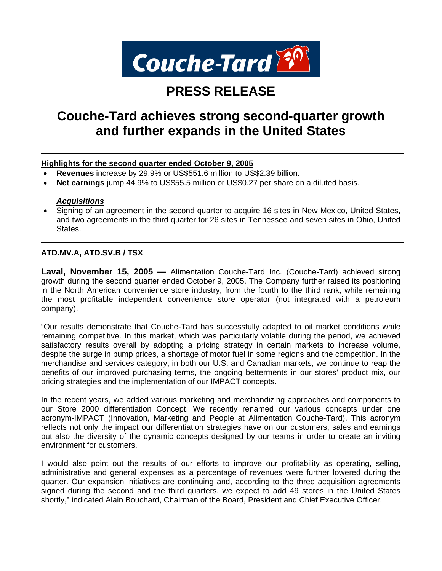

# **PRESS RELEASE**

# **Couche-Tard achieves strong second-quarter growth and further expands in the United States**

## **Highlights for the second quarter ended October 9, 2005**

- **Revenues** increase by 29.9% or US\$551.6 million to US\$2.39 billion.
- **Net earnings** jump 44.9% to US\$55.5 million or US\$0.27 per share on a diluted basis.

### *Acquisitions*

• Signing of an agreement in the second quarter to acquire 16 sites in New Mexico, United States, and two agreements in the third quarter for 26 sites in Tennessee and seven sites in Ohio, United States.

## **ATD.MV.A, ATD.SV.B / TSX**

**Laval, November 15, 2005 —** Alimentation Couche-Tard Inc. (Couche-Tard) achieved strong growth during the second quarter ended October 9, 2005. The Company further raised its positioning in the North American convenience store industry, from the fourth to the third rank, while remaining the most profitable independent convenience store operator (not integrated with a petroleum company).

"Our results demonstrate that Couche-Tard has successfully adapted to oil market conditions while remaining competitive. In this market, which was particularly volatile during the period, we achieved satisfactory results overall by adopting a pricing strategy in certain markets to increase volume, despite the surge in pump prices, a shortage of motor fuel in some regions and the competition. In the merchandise and services category, in both our U.S. and Canadian markets, we continue to reap the benefits of our improved purchasing terms, the ongoing betterments in our stores' product mix, our pricing strategies and the implementation of our IMPACT concepts.

In the recent years, we added various marketing and merchandizing approaches and components to our Store 2000 differentiation Concept. We recently renamed our various concepts under one acronym-IMPACT (Innovation, Marketing and People at Alimentation Couche-Tard). This acronym reflects not only the impact our differentiation strategies have on our customers, sales and earnings but also the diversity of the dynamic concepts designed by our teams in order to create an inviting environment for customers.

I would also point out the results of our efforts to improve our profitability as operating, selling, administrative and general expenses as a percentage of revenues were further lowered during the quarter. Our expansion initiatives are continuing and, according to the three acquisition agreements signed during the second and the third quarters, we expect to add 49 stores in the United States shortly," indicated Alain Bouchard, Chairman of the Board, President and Chief Executive Officer.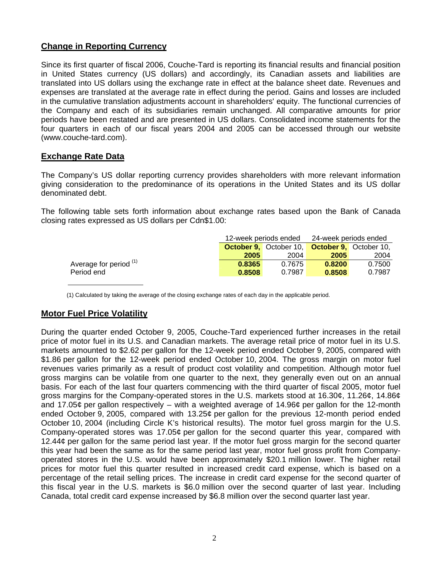# **Change in Reporting Currency**

Since its first quarter of fiscal 2006, Couche-Tard is reporting its financial results and financial position in United States currency (US dollars) and accordingly, its Canadian assets and liabilities are translated into US dollars using the exchange rate in effect at the balance sheet date. Revenues and expenses are translated at the average rate in effect during the period. Gains and losses are included in the cumulative translation adjustments account in shareholders' equity. The functional currencies of the Company and each of its subsidiaries remain unchanged. All comparative amounts for prior periods have been restated and are presented in US dollars. Consolidated income statements for the four quarters in each of our fiscal years 2004 and 2005 can be accessed through our website (www.couche-tard.com).

# **Exchange Rate Data**

The Company's US dollar reporting currency provides shareholders with more relevant information giving consideration to the predominance of its operations in the United States and its US dollar denominated debt.

The following table sets forth information about exchange rates based upon the Bank of Canada closing rates expressed as US dollars per Cdn\$1.00:

|                        |        | 12-week periods ended                                       | 24-week periods ended |        |  |
|------------------------|--------|-------------------------------------------------------------|-----------------------|--------|--|
|                        |        | <b>October 9.</b> October 10. <b>October 9.</b> October 10. |                       |        |  |
|                        | 2005   | 2004                                                        | 2005                  | 2004   |  |
| Average for period (1) | 0.8365 | 0.7675                                                      | 0.8200                | 0.7500 |  |
| Period end             | 0.8508 | 0.7987                                                      | 0.8508                | 0.7987 |  |

(1) Calculated by taking the average of the closing exchange rates of each day in the applicable period.

# **Motor Fuel Price Volatility**

During the quarter ended October 9, 2005, Couche-Tard experienced further increases in the retail price of motor fuel in its U.S. and Canadian markets. The average retail price of motor fuel in its U.S. markets amounted to \$2.62 per gallon for the 12-week period ended October 9, 2005, compared with \$1.86 per gallon for the 12-week period ended October 10, 2004. The gross margin on motor fuel revenues varies primarily as a result of product cost volatility and competition. Although motor fuel gross margins can be volatile from one quarter to the next, they generally even out on an annual basis. For each of the last four quarters commencing with the third quarter of fiscal 2005, motor fuel gross margins for the Company-operated stores in the U.S. markets stood at 16.30¢, 11.26¢, 14.86¢ and 17.05 $\phi$  per gallon respectively – with a weighted average of 14.96 $\phi$  per gallon for the 12-month ended October 9, 2005, compared with 13.25¢ per gallon for the previous 12-month period ended October 10, 2004 (including Circle K's historical results). The motor fuel gross margin for the U.S. Company-operated stores was 17.05¢ per gallon for the second quarter this year, compared with 12.44¢ per gallon for the same period last year. If the motor fuel gross margin for the second quarter this year had been the same as for the same period last year, motor fuel gross profit from Companyoperated stores in the U.S. would have been approximately \$20.1 million lower. The higher retail prices for motor fuel this quarter resulted in increased credit card expense, which is based on a percentage of the retail selling prices. The increase in credit card expense for the second quarter of this fiscal year in the U.S. markets is \$6.0 million over the second quarter of last year. Including Canada, total credit card expense increased by \$6.8 million over the second quarter last year.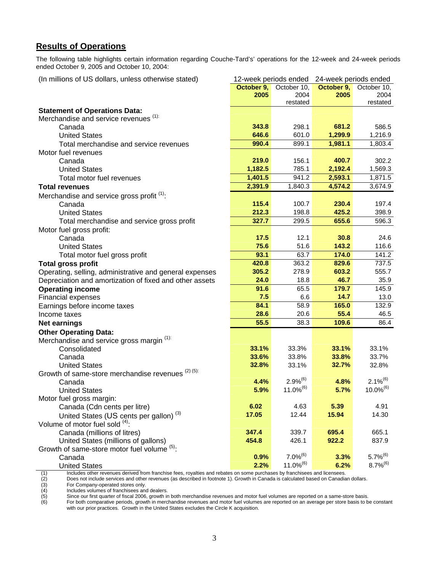# **Results of Operations**

The following table highlights certain information regarding Couche-Tard's' operations for the 12-week and 24-week periods ended October 9, 2005 and October 10, 2004:

| (In millions of US dollars, unless otherwise stated)    |                  | 12-week periods ended | 24-week periods ended |                |  |
|---------------------------------------------------------|------------------|-----------------------|-----------------------|----------------|--|
|                                                         | October 9,       | October 10,           | October 9,            | October 10,    |  |
|                                                         | 2005             | 2004                  | 2005                  | 2004           |  |
|                                                         |                  | restated              |                       | restated       |  |
| <b>Statement of Operations Data:</b>                    |                  |                       |                       |                |  |
| Merchandise and service revenues (1):                   | 343.8            | 298.1                 | 681.2                 | 586.5          |  |
| Canada<br><b>United States</b>                          | 646.6            | 601.0                 |                       |                |  |
|                                                         | 990.4            | 899.1                 | 1,299.9<br>1,981.1    | 1,216.9        |  |
| Total merchandise and service revenues                  |                  |                       |                       | 1,803.4        |  |
| Motor fuel revenues                                     |                  |                       |                       |                |  |
| Canada                                                  | 219.0<br>1,182.5 | 156.1<br>785.1        | 400.7                 | 302.2          |  |
| <b>United States</b>                                    |                  | 941.2                 | 2,192.4               | 1,569.3        |  |
| Total motor fuel revenues                               | 1,401.5          |                       | 2,593.1               | 1,871.5        |  |
| <b>Total revenues</b>                                   | 2,391.9          | 1,840.3               | 4,574.2               | 3,674.9        |  |
| Merchandise and service gross profit <sup>(1)</sup> :   |                  |                       |                       |                |  |
| Canada                                                  | 115.4            | 100.7                 | 230.4                 | 197.4          |  |
| <b>United States</b>                                    | 212.3            | 198.8                 | 425.2                 | 398.9          |  |
| Total merchandise and service gross profit              | 327.7            | 299.5                 | 655.6                 | 596.3          |  |
| Motor fuel gross profit:                                |                  |                       |                       |                |  |
| Canada                                                  | 17.5             | 12.1                  | 30.8                  | 24.6           |  |
| <b>United States</b>                                    | 75.6             | 51.6                  | 143.2                 | 116.6          |  |
| Total motor fuel gross profit                           | 93.1             | 63.7                  | 174.0                 | 141.2          |  |
| <b>Total gross profit</b>                               | 420.8            | 363.2                 | 829.6                 | 737.5          |  |
| Operating, selling, administrative and general expenses | 305.2            | 278.9                 | 603.2                 | 555.7          |  |
| Depreciation and amortization of fixed and other assets | 24.0             | 18.8                  | 46.7                  | 35.9           |  |
| <b>Operating income</b>                                 | 91.6             | 65.5                  | 179.7                 | 145.9          |  |
| Financial expenses                                      | 7.5              | 6.6                   | 14.7                  | 13.0           |  |
| Earnings before income taxes                            | 84.1             | 58.9                  | 165.0                 | 132.9          |  |
| Income taxes                                            | 28.6             | 20.6                  | 55.4                  | 46.5           |  |
| <b>Net earnings</b>                                     | 55.5             | 38.3                  | 109.6                 | 86.4           |  |
| <b>Other Operating Data:</b>                            |                  |                       |                       |                |  |
| Merchandise and service gross margin (1):               |                  |                       |                       |                |  |
| Consolidated                                            | 33.1%            | 33.3%                 | 33.1%                 | 33.1%          |  |
| Canada                                                  | 33.6%            | 33.8%                 | 33.8%                 | 33.7%          |  |
| <b>United States</b>                                    | 32.8%            | 33.1%                 | 32.7%                 | 32.8%          |  |
| Growth of same-store merchandise revenues (2) (5):      |                  |                       |                       |                |  |
| Canada                                                  | 4.4%             | $2.9%^{(6)}$          | 4.8%                  | $2.1\%^{(6)}$  |  |
| <b>United States</b>                                    | 5.9%             | $11.0\%^{(6)}$        | 5.7%                  | $10.0\%^{(6)}$ |  |
| Motor fuel gross margin:                                |                  |                       |                       |                |  |
| Canada (Cdn cents per litre)                            | 6.02             | 4.63                  | 5.39                  | 4.91           |  |
| United States (US cents per gallon) <sup>(3)</sup>      | 17.05            | 12.44                 | 15.94                 | 14.30          |  |
| Volume of motor fuel sold (4):                          |                  |                       |                       |                |  |
| Canada (millions of litres)                             | 347.4            | 339.7                 | 695.4                 | 665.1          |  |
| United States (millions of gallons)                     | 454.8            | 426.1                 | 922.2                 | 837.9          |  |
| Growth of same-store motor fuel volume (5).             |                  |                       |                       |                |  |
| Canada                                                  | 0.9%             | $7.0\%^{(6)}$         | 3.3%                  | $5.7\%^{(6)}$  |  |
| <b>United States</b>                                    | 2.2%             | $11.0\%^{(6)}$        | 6.2%                  | $8.7\%^{(6)}$  |  |

(1) Includes other revenues derived from franchise fees, royalties and rebates on some purchases by franchisees and licensees.<br>
(2) Does not include services and other revenues (as described in footnote 1). Growth in Canad Does not include services and other revenues (as described in footnote 1). Growth in Canada is calculated based on Canadian dollars.

For Company-operated stores only.

Includes volumes of franchisees and dealers.

motation of mandmoted in a detable.<br>Since our first quarter of fiscal 2006, growth in both merchandise revenues and motor fuel volumes are reported on a same-store basis.

For both comparative periods, growth in merchandise revenues and motor fuel volumes are reported on an average per store basis to be constant with our prior practices. Growth in the United States excludes the Circle K acquisition.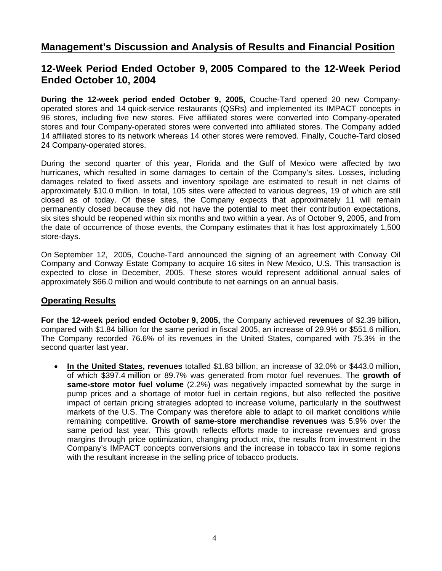# **Management's Discussion and Analysis of Results and Financial Position**

# **12-Week Period Ended October 9, 2005 Compared to the 12-Week Period Ended October 10, 2004**

**During the 12-week period ended October 9, 2005,** Couche-Tard opened 20 new Companyoperated stores and 14 quick-service restaurants (QSRs) and implemented its IMPACT concepts in 96 stores, including five new stores. Five affiliated stores were converted into Company-operated stores and four Company-operated stores were converted into affiliated stores. The Company added 14 affiliated stores to its network whereas 14 other stores were removed. Finally, Couche-Tard closed 24 Company-operated stores.

During the second quarter of this year, Florida and the Gulf of Mexico were affected by two hurricanes, which resulted in some damages to certain of the Company's sites. Losses, including damages related to fixed assets and inventory spoilage are estimated to result in net claims of approximately \$10.0 million. In total, 105 sites were affected to various degrees, 19 of which are still closed as of today. Of these sites, the Company expects that approximately 11 will remain permanently closed because they did not have the potential to meet their contribution expectations, six sites should be reopened within six months and two within a year. As of October 9, 2005, and from the date of occurrence of those events, the Company estimates that it has lost approximately 1,500 store-days.

On September 12, 2005, Couche-Tard announced the signing of an agreement with Conway Oil Company and Conway Estate Company to acquire 16 sites in New Mexico, U.S. This transaction is expected to close in December, 2005. These stores would represent additional annual sales of approximately \$66.0 million and would contribute to net earnings on an annual basis.

# **Operating Results**

**For the 12-week period ended October 9, 2005,** the Company achieved **revenues** of \$2.39 billion, compared with \$1.84 billion for the same period in fiscal 2005, an increase of 29.9% or \$551.6 million. The Company recorded 76.6% of its revenues in the United States, compared with 75.3% in the second quarter last year.

• **In the United States, revenues** totalled \$1.83 billion, an increase of 32.0% or \$443.0 million, of which \$397.4 million or 89.7% was generated from motor fuel revenues. The **growth of same-store motor fuel volume** (2.2%) was negatively impacted somewhat by the surge in pump prices and a shortage of motor fuel in certain regions, but also reflected the positive impact of certain pricing strategies adopted to increase volume, particularly in the southwest markets of the U.S. The Company was therefore able to adapt to oil market conditions while remaining competitive. **Growth of same-store merchandise revenues** was 5.9% over the same period last year. This growth reflects efforts made to increase revenues and gross margins through price optimization, changing product mix, the results from investment in the Company's IMPACT concepts conversions and the increase in tobacco tax in some regions with the resultant increase in the selling price of tobacco products.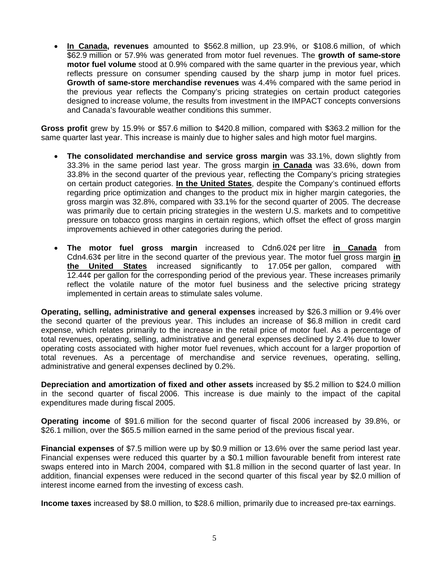• **In Canada, revenues** amounted to \$562.8 million, up 23.9%, or \$108.6 million, of which \$62.9 million or 57.9% was generated from motor fuel revenues. The **growth of same-store motor fuel volume** stood at 0.9% compared with the same quarter in the previous year, which reflects pressure on consumer spending caused by the sharp jump in motor fuel prices. **Growth of same-store merchandise revenues** was 4.4% compared with the same period in the previous year reflects the Company's pricing strategies on certain product categories designed to increase volume, the results from investment in the IMPACT concepts conversions and Canada's favourable weather conditions this summer.

**Gross profit** grew by 15.9% or \$57.6 million to \$420.8 million, compared with \$363.2 million for the same quarter last year. This increase is mainly due to higher sales and high motor fuel margins.

- **The consolidated merchandise and service gross margin** was 33.1%, down slightly from 33.3% in the same period last year. The gross margin **in Canada** was 33.6%, down from 33.8% in the second quarter of the previous year, reflecting the Company's pricing strategies on certain product categories. **In the United States**, despite the Company's continued efforts regarding price optimization and changes to the product mix in higher margin categories, the gross margin was 32.8%, compared with 33.1% for the second quarter of 2005. The decrease was primarily due to certain pricing strategies in the western U.S. markets and to competitive pressure on tobacco gross margins in certain regions, which offset the effect of gross margin improvements achieved in other categories during the period.
- **The motor fuel gross margin** increased to Cdn6.02¢ per litre **in Canada** from Cdn4.63¢ per litre in the second quarter of the previous year. The motor fuel gross margin **in the United States** increased significantly to 17.05¢ per gallon, compared with 12.44¢ per gallon for the corresponding period of the previous year. These increases primarily reflect the volatile nature of the motor fuel business and the selective pricing strategy implemented in certain areas to stimulate sales volume.

**Operating, selling, administrative and general expenses** increased by \$26.3 million or 9.4% over the second quarter of the previous year. This includes an increase of \$6.8 million in credit card expense, which relates primarily to the increase in the retail price of motor fuel. As a percentage of total revenues, operating, selling, administrative and general expenses declined by 2.4% due to lower operating costs associated with higher motor fuel revenues, which account for a larger proportion of total revenues. As a percentage of merchandise and service revenues, operating, selling, administrative and general expenses declined by 0.2%.

**Depreciation and amortization of fixed and other assets** increased by \$5.2 million to \$24.0 million in the second quarter of fiscal 2006. This increase is due mainly to the impact of the capital expenditures made during fiscal 2005.

**Operating income** of \$91.6 million for the second quarter of fiscal 2006 increased by 39.8%, or \$26.1 million, over the \$65.5 million earned in the same period of the previous fiscal year.

**Financial expenses** of \$7.5 million were up by \$0.9 million or 13.6% over the same period last year. Financial expenses were reduced this quarter by a \$0.1 million favourable benefit from interest rate swaps entered into in March 2004, compared with \$1.8 million in the second quarter of last year. In addition, financial expenses were reduced in the second quarter of this fiscal year by \$2.0 million of interest income earned from the investing of excess cash.

**Income taxes** increased by \$8.0 million, to \$28.6 million, primarily due to increased pre-tax earnings.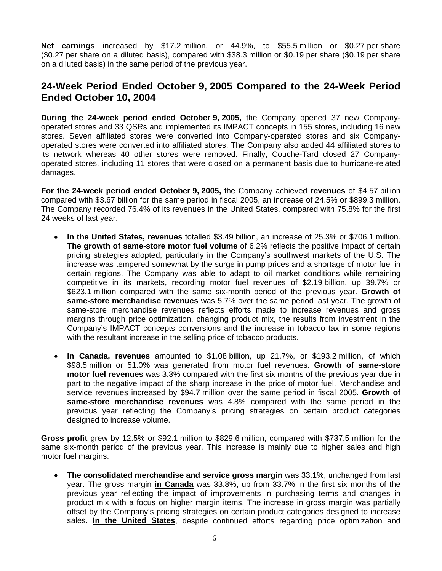**Net earnings** increased by \$17.2 million, or 44.9%, to \$55.5 million or \$0.27 per share (\$0.27 per share on a diluted basis), compared with \$38.3 million or \$0.19 per share (\$0.19 per share on a diluted basis) in the same period of the previous year.

# **24-Week Period Ended October 9, 2005 Compared to the 24-Week Period Ended October 10, 2004**

**During the 24-week period ended October 9, 2005,** the Company opened 37 new Companyoperated stores and 33 QSRs and implemented its IMPACT concepts in 155 stores, including 16 new stores. Seven affiliated stores were converted into Company-operated stores and six Companyoperated stores were converted into affiliated stores. The Company also added 44 affiliated stores to its network whereas 40 other stores were removed. Finally, Couche-Tard closed 27 Companyoperated stores, including 11 stores that were closed on a permanent basis due to hurricane-related damages.

**For the 24-week period ended October 9, 2005,** the Company achieved **revenues** of \$4.57 billion compared with \$3.67 billion for the same period in fiscal 2005, an increase of 24.5% or \$899.3 million. The Company recorded 76.4% of its revenues in the United States, compared with 75.8% for the first 24 weeks of last year.

- **In the United States, revenues** totalled \$3.49 billion, an increase of 25.3% or \$706.1 million. **The growth of same-store motor fuel volume** of 6.2% reflects the positive impact of certain pricing strategies adopted, particularly in the Company's southwest markets of the U.S. The increase was tempered somewhat by the surge in pump prices and a shortage of motor fuel in certain regions. The Company was able to adapt to oil market conditions while remaining competitive in its markets, recording motor fuel revenues of \$2.19 billion, up 39.7% or \$623.1 million compared with the same six-month period of the previous year. **Growth of same-store merchandise revenues** was 5.7% over the same period last year. The growth of same-store merchandise revenues reflects efforts made to increase revenues and gross margins through price optimization, changing product mix, the results from investment in the Company's IMPACT concepts conversions and the increase in tobacco tax in some regions with the resultant increase in the selling price of tobacco products.
- **In Canada, revenues** amounted to \$1.08 billion, up 21.7%, or \$193.2 million, of which \$98.5 million or 51.0% was generated from motor fuel revenues. **Growth of same-store motor fuel revenues** was 3.3% compared with the first six months of the previous year due in part to the negative impact of the sharp increase in the price of motor fuel. Merchandise and service revenues increased by \$94.7 million over the same period in fiscal 2005. **Growth of same-store merchandise revenues** was 4.8% compared with the same period in the previous year reflecting the Company's pricing strategies on certain product categories designed to increase volume.

**Gross profit** grew by 12.5% or \$92.1 million to \$829.6 million, compared with \$737.5 million for the same six-month period of the previous year. This increase is mainly due to higher sales and high motor fuel margins.

• **The consolidated merchandise and service gross margin** was 33.1%, unchanged from last year. The gross margin **in Canada** was 33.8%, up from 33.7% in the first six months of the previous year reflecting the impact of improvements in purchasing terms and changes in product mix with a focus on higher margin items. The increase in gross margin was partially offset by the Company's pricing strategies on certain product categories designed to increase sales. **In the United States**, despite continued efforts regarding price optimization and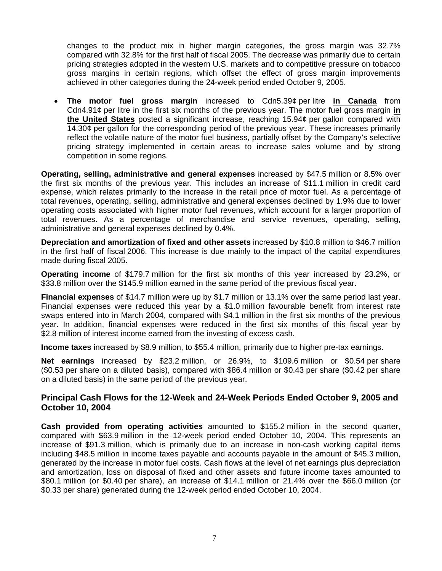changes to the product mix in higher margin categories, the gross margin was 32.7% compared with 32.8% for the first half of fiscal 2005. The decrease was primarily due to certain pricing strategies adopted in the western U.S. markets and to competitive pressure on tobacco gross margins in certain regions, which offset the effect of gross margin improvements achieved in other categories during the 24-week period ended October 9, 2005.

• **The motor fuel gross margin** increased to Cdn5.39¢ per litre **in Canada** from Cdn4.91¢ per litre in the first six months of the previous year. The motor fuel gross margin **in the United States** posted a significant increase, reaching 15.94¢ per gallon compared with 14.30¢ per gallon for the corresponding period of the previous year. These increases primarily reflect the volatile nature of the motor fuel business, partially offset by the Company's selective pricing strategy implemented in certain areas to increase sales volume and by strong competition in some regions.

**Operating, selling, administrative and general expenses** increased by \$47.5 million or 8.5% over the first six months of the previous year. This includes an increase of \$11.1 million in credit card expense, which relates primarily to the increase in the retail price of motor fuel. As a percentage of total revenues, operating, selling, administrative and general expenses declined by 1.9% due to lower operating costs associated with higher motor fuel revenues, which account for a larger proportion of total revenues. As a percentage of merchandise and service revenues, operating, selling, administrative and general expenses declined by 0.4%.

**Depreciation and amortization of fixed and other assets** increased by \$10.8 million to \$46.7 million in the first half of fiscal 2006. This increase is due mainly to the impact of the capital expenditures made during fiscal 2005.

**Operating income** of \$179.7 million for the first six months of this year increased by 23.2%, or \$33.8 million over the \$145.9 million earned in the same period of the previous fiscal year.

**Financial expenses** of \$14.7 million were up by \$1.7 million or 13.1% over the same period last year. Financial expenses were reduced this year by a \$1.0 million favourable benefit from interest rate swaps entered into in March 2004, compared with \$4.1 million in the first six months of the previous year. In addition, financial expenses were reduced in the first six months of this fiscal year by \$2.8 million of interest income earned from the investing of excess cash.

**Income taxes** increased by \$8.9 million, to \$55.4 million, primarily due to higher pre-tax earnings.

**Net earnings** increased by \$23.2 million, or 26.9%, to \$109.6 million or \$0.54 per share (\$0.53 per share on a diluted basis), compared with \$86.4 million or \$0.43 per share (\$0.42 per share on a diluted basis) in the same period of the previous year.

# **Principal Cash Flows for the 12-Week and 24-Week Periods Ended October 9, 2005 and October 10, 2004**

**Cash provided from operating activities** amounted to \$155.2 million in the second quarter, compared with \$63.9 million in the 12-week period ended October 10, 2004. This represents an increase of \$91.3 million, which is primarily due to an increase in non-cash working capital items including \$48.5 million in income taxes payable and accounts payable in the amount of \$45.3 million, generated by the increase in motor fuel costs. Cash flows at the level of net earnings plus depreciation and amortization, loss on disposal of fixed and other assets and future income taxes amounted to \$80.1 million (or \$0.40 per share), an increase of \$14.1 million or 21.4% over the \$66.0 million (or \$0.33 per share) generated during the 12-week period ended October 10, 2004.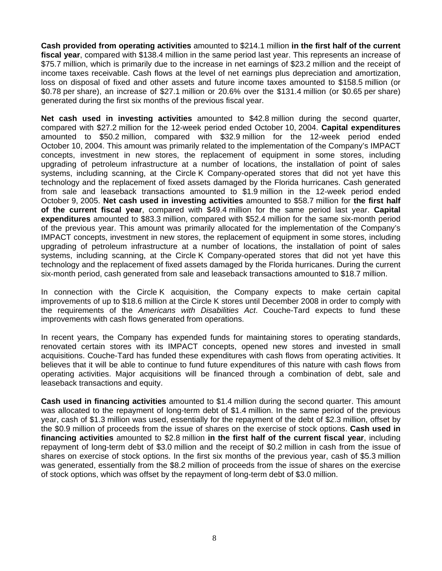**Cash provided from operating activities** amounted to \$214.1 million **in the first half of the current fiscal year**, compared with \$138.4 million in the same period last year. This represents an increase of \$75.7 million, which is primarily due to the increase in net earnings of \$23.2 million and the receipt of income taxes receivable. Cash flows at the level of net earnings plus depreciation and amortization, loss on disposal of fixed and other assets and future income taxes amounted to \$158.5 million (or \$0.78 per share), an increase of \$27.1 million or 20.6% over the \$131.4 million (or \$0.65 per share) generated during the first six months of the previous fiscal year.

**Net cash used in investing activities** amounted to \$42.8 million during the second quarter, compared with \$27.2 million for the 12-week period ended October 10, 2004. **Capital expenditures** amounted to \$50.2 million, compared with \$32.9 million for the 12-week period ended October 10, 2004. This amount was primarily related to the implementation of the Company's IMPACT concepts, investment in new stores, the replacement of equipment in some stores, including upgrading of petroleum infrastructure at a number of locations, the installation of point of sales systems, including scanning, at the Circle K Company-operated stores that did not yet have this technology and the replacement of fixed assets damaged by the Florida hurricanes. Cash generated from sale and leaseback transactions amounted to \$1.9 million in the 12-week period ended October 9, 2005. **Net cash used in investing activities** amounted to \$58.7 million for **the first half of the current fiscal year**, compared with \$49.4 million for the same period last year. **Capital expenditures** amounted to \$83.3 million, compared with \$52.4 million for the same six-month period of the previous year. This amount was primarily allocated for the implementation of the Company's IMPACT concepts, investment in new stores, the replacement of equipment in some stores, including upgrading of petroleum infrastructure at a number of locations, the installation of point of sales systems, including scanning, at the Circle K Company-operated stores that did not yet have this technology and the replacement of fixed assets damaged by the Florida hurricanes. During the current six-month period, cash generated from sale and leaseback transactions amounted to \$18.7 million.

In connection with the Circle K acquisition, the Company expects to make certain capital improvements of up to \$18.6 million at the Circle K stores until December 2008 in order to comply with the requirements of the *Americans with Disabilities Act*. Couche-Tard expects to fund these improvements with cash flows generated from operations.

In recent years, the Company has expended funds for maintaining stores to operating standards, renovated certain stores with its IMPACT concepts, opened new stores and invested in small acquisitions. Couche-Tard has funded these expenditures with cash flows from operating activities. It believes that it will be able to continue to fund future expenditures of this nature with cash flows from operating activities. Major acquisitions will be financed through a combination of debt, sale and leaseback transactions and equity.

**Cash used in financing activities** amounted to \$1.4 million during the second quarter. This amount was allocated to the repayment of long-term debt of \$1.4 million. In the same period of the previous year, cash of \$1.3 million was used, essentially for the repayment of the debt of \$2.3 million, offset by the \$0.9 million of proceeds from the issue of shares on the exercise of stock options. **Cash used in financing activities** amounted to \$2.8 million **in the first half of the current fiscal year**, including repayment of long-term debt of \$3.0 million and the receipt of \$0.2 million in cash from the issue of shares on exercise of stock options. In the first six months of the previous year, cash of \$5.3 million was generated, essentially from the \$8.2 million of proceeds from the issue of shares on the exercise of stock options, which was offset by the repayment of long-term debt of \$3.0 million.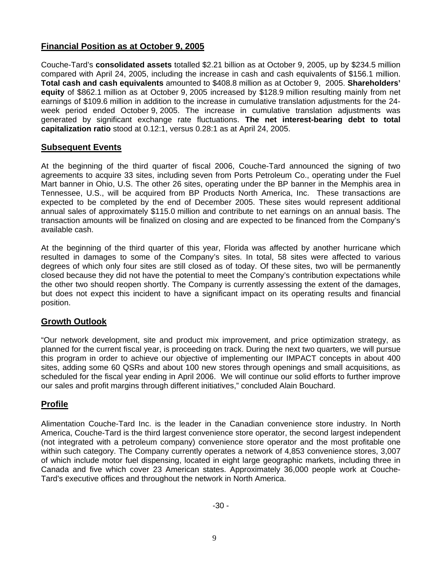# **Financial Position as at October 9, 2005**

Couche-Tard's **consolidated assets** totalled \$2.21 billion as at October 9, 2005, up by \$234.5 million compared with April 24, 2005, including the increase in cash and cash equivalents of \$156.1 million. **Total cash and cash equivalents** amounted to \$408.8 million as at October 9, 2005. **Shareholders' equity** of \$862.1 million as at October 9, 2005 increased by \$128.9 million resulting mainly from net earnings of \$109.6 million in addition to the increase in cumulative translation adjustments for the 24 week period ended October 9, 2005. The increase in cumulative translation adjustments was generated by significant exchange rate fluctuations. **The net interest-bearing debt to total capitalization ratio** stood at 0.12:1, versus 0.28:1 as at April 24, 2005.

### **Subsequent Events**

At the beginning of the third quarter of fiscal 2006, Couche-Tard announced the signing of two agreements to acquire 33 sites, including seven from Ports Petroleum Co., operating under the Fuel Mart banner in Ohio, U.S. The other 26 sites, operating under the BP banner in the Memphis area in Tennessee, U.S., will be acquired from BP Products North America, Inc. These transactions are expected to be completed by the end of December 2005. These sites would represent additional annual sales of approximately \$115.0 million and contribute to net earnings on an annual basis. The transaction amounts will be finalized on closing and are expected to be financed from the Company's available cash.

At the beginning of the third quarter of this year, Florida was affected by another hurricane which resulted in damages to some of the Company's sites. In total, 58 sites were affected to various degrees of which only four sites are still closed as of today. Of these sites, two will be permanently closed because they did not have the potential to meet the Company's contribution expectations while the other two should reopen shortly. The Company is currently assessing the extent of the damages, but does not expect this incident to have a significant impact on its operating results and financial position.

### **Growth Outlook**

"Our network development, site and product mix improvement, and price optimization strategy, as planned for the current fiscal year, is proceeding on track. During the next two quarters, we will pursue this program in order to achieve our objective of implementing our IMPACT concepts in about 400 sites, adding some 60 QSRs and about 100 new stores through openings and small acquisitions, as scheduled for the fiscal year ending in April 2006. We will continue our solid efforts to further improve our sales and profit margins through different initiatives," concluded Alain Bouchard.

# **Profile**

Alimentation Couche-Tard Inc. is the leader in the Canadian convenience store industry. In North America, Couche-Tard is the third largest convenience store operator, the second largest independent (not integrated with a petroleum company) convenience store operator and the most profitable one within such category. The Company currently operates a network of 4,853 convenience stores, 3,007 of which include motor fuel dispensing, located in eight large geographic markets, including three in Canada and five which cover 23 American states. Approximately 36,000 people work at Couche-Tard's executive offices and throughout the network in North America.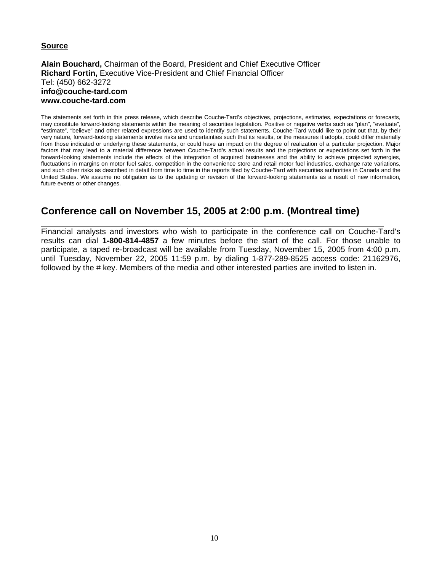#### **Source**

**Alain Bouchard,** Chairman of the Board, President and Chief Executive Officer **Richard Fortin,** Executive Vice-President and Chief Financial Officer Tel: (450) 662-3272 **info@couche-tard.com www.couche-tard.com** 

The statements set forth in this press release, which describe Couche-Tard's objectives, projections, estimates, expectations or forecasts, may constitute forward-looking statements within the meaning of securities legislation. Positive or negative verbs such as "plan", "evaluate", "estimate", "believe" and other related expressions are used to identify such statements. Couche-Tard would like to point out that, by their very nature, forward-looking statements involve risks and uncertainties such that its results, or the measures it adopts, could differ materially from those indicated or underlying these statements, or could have an impact on the degree of realization of a particular projection. Major factors that may lead to a material difference between Couche-Tard's actual results and the projections or expectations set forth in the forward-looking statements include the effects of the integration of acquired businesses and the ability to achieve projected synergies, fluctuations in margins on motor fuel sales, competition in the convenience store and retail motor fuel industries, exchange rate variations, and such other risks as described in detail from time to time in the reports filed by Couche-Tard with securities authorities in Canada and the United States. We assume no obligation as to the updating or revision of the forward-looking statements as a result of new information, future events or other changes.

# **Conference call on November 15, 2005 at 2:00 p.m. (Montreal time)**

Financial analysts and investors who wish to participate in the conference call on Couche-Tard's results can dial **1-800-814-4857** a few minutes before the start of the call. For those unable to participate, a taped re-broadcast will be available from Tuesday, November 15, 2005 from 4:00 p.m. until Tuesday, November 22, 2005 11:59 p.m. by dialing 1-877-289-8525 access code: 21162976, followed by the # key. Members of the media and other interested parties are invited to listen in.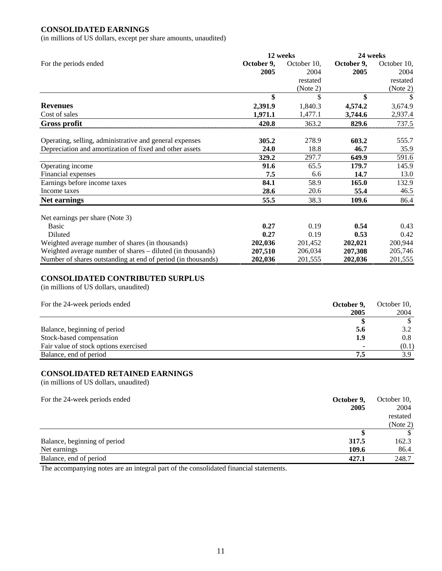#### **CONSOLIDATED EARNINGS**

(in millions of US dollars, except per share amounts, unaudited)

|                                                              |            | 12 weeks    | 24 weeks   |             |  |
|--------------------------------------------------------------|------------|-------------|------------|-------------|--|
| For the periods ended                                        | October 9, | October 10, | October 9, | October 10, |  |
|                                                              | 2005       | 2004        | 2005       | 2004        |  |
|                                                              |            | restated    |            | restated    |  |
|                                                              |            | (Note 2)    |            | (Note 2)    |  |
|                                                              | \$         | S           | \$         | \$          |  |
| <b>Revenues</b>                                              | 2,391.9    | 1,840.3     | 4,574.2    | 3,674.9     |  |
| Cost of sales                                                | 1,971.1    | 1,477.1     | 3,744.6    | 2,937.4     |  |
| <b>Gross profit</b>                                          | 420.8      | 363.2       | 829.6      | 737.5       |  |
| Operating, selling, administrative and general expenses      | 305.2      | 278.9       | 603.2      | 555.7       |  |
| Depreciation and amortization of fixed and other assets      | 24.0       | 18.8        | 46.7       | 35.9        |  |
|                                                              | 329.2      | 297.7       | 649.9      | 591.6       |  |
| Operating income                                             | 91.6       | 65.5        | 179.7      | 145.9       |  |
| Financial expenses                                           | 7.5        | 6.6         | 14.7       | 13.0        |  |
| Earnings before income taxes                                 | 84.1       | 58.9        | 165.0      | 132.9       |  |
| Income taxes                                                 | 28.6       | 20.6        | 55.4       | 46.5        |  |
| <b>Net earnings</b>                                          | 55.5       | 38.3        | 109.6      | 86.4        |  |
| Net earnings per share (Note 3)                              |            |             |            |             |  |
| <b>Basic</b>                                                 | 0.27       | 0.19        | 0.54       | 0.43        |  |
| Diluted                                                      | 0.27       | 0.19        | 0.53       | 0.42        |  |
| Weighted average number of shares (in thousands)             | 202,036    | 201,452     | 202,021    | 200,944     |  |
| Weighted average number of shares – diluted (in thousands)   | 207,510    | 206,034     | 207,308    | 205,746     |  |
| Number of shares outstanding at end of period (in thousands) | 202,036    | 201,555     | 202,036    | 201,555     |  |

#### **CONSOLIDATED CONTRIBUTED SURPLUS**

(in millions of US dollars, unaudited)

| For the 24-week periods ended         | October 9,               | October 10, |  |
|---------------------------------------|--------------------------|-------------|--|
|                                       | 2005                     | 2004        |  |
|                                       |                          |             |  |
| Balance, beginning of period          | 5.6                      | 3.2         |  |
| Stock-based compensation              | 1.9                      | 0.8         |  |
| Fair value of stock options exercised | $\overline{\phantom{a}}$ | (0.1)       |  |
| Balance, end of period                | 7.5                      | 3.9         |  |

#### **CONSOLIDATED RETAINED EARNINGS**

(in millions of US dollars, unaudited)

| October 9,<br>For the 24-week periods ended | October 10, |
|---------------------------------------------|-------------|
| 2005                                        | 2004        |
|                                             | restated    |
|                                             | (Note 2)    |
|                                             | \$          |
| 317.5<br>Balance, beginning of period       | 162.3       |
| Net earnings<br>109.6                       | 86.4        |
| Balance, end of period<br>427.1             | 248.7       |

The accompanying notes are an integral part of the consolidated financial statements.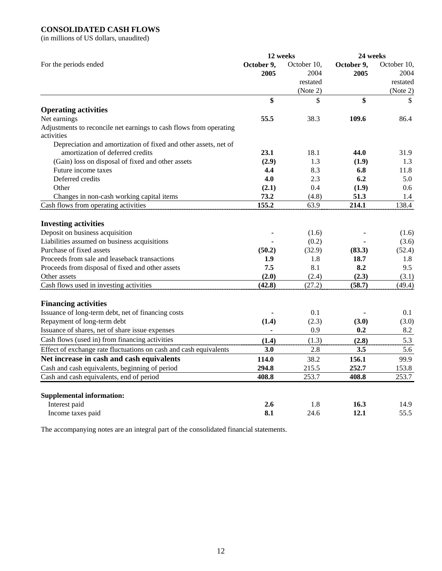## **CONSOLIDATED CASH FLOWS**

(in millions of US dollars, unaudited)

|                                                                    |                    | 12 weeks            | 24 weeks           |                     |
|--------------------------------------------------------------------|--------------------|---------------------|--------------------|---------------------|
| For the periods ended                                              | October 9,<br>2005 | October 10.<br>2004 | October 9,<br>2005 | October 10,<br>2004 |
|                                                                    |                    | restated            |                    | restated            |
|                                                                    |                    | (Note 2)            |                    | (Note 2)            |
|                                                                    | \$                 | \$                  | \$                 | \$                  |
| <b>Operating activities</b>                                        |                    |                     |                    |                     |
| Net earnings                                                       | 55.5               | 38.3                | 109.6              | 86.4                |
| Adjustments to reconcile net earnings to cash flows from operating |                    |                     |                    |                     |
| activities                                                         |                    |                     |                    |                     |
| Depreciation and amortization of fixed and other assets, net of    |                    |                     |                    |                     |
| amortization of deferred credits                                   | 23.1               | 18.1                | 44.0               | 31.9                |
| (Gain) loss on disposal of fixed and other assets                  | (2.9)              | 1.3                 | (1.9)              | 1.3                 |
| Future income taxes                                                | 4.4                | 8.3                 | 6.8                | 11.8                |
| Deferred credits                                                   | 4.0                | 2.3                 | 6.2                | 5.0                 |
| Other                                                              | (2.1)              | 0.4                 | (1.9)              | 0.6                 |
| Changes in non-cash working capital items                          | 73.2               | (4.8)               | 51.3               | 1.4                 |
| Cash flows from operating activities                               | 155.2              | 63.9                | 214.1              | 138.4               |
| <b>Investing activities</b>                                        |                    |                     |                    |                     |
| Deposit on business acquisition                                    |                    | (1.6)               |                    | (1.6)               |
| Liabilities assumed on business acquisitions                       |                    | (0.2)               |                    | (3.6)               |
| Purchase of fixed assets                                           | (50.2)             | (32.9)              | (83.3)             | (52.4)              |
| Proceeds from sale and leaseback transactions                      | 1.9                | 1.8                 | 18.7               | 1.8                 |
| Proceeds from disposal of fixed and other assets                   | 7.5                | 8.1                 | 8.2                | 9.5                 |
| Other assets                                                       | (2.0)              | (2.4)               | (2.3)              | (3.1)               |
| Cash flows used in investing activities                            | (42.8)             | (27.2)              | (58.7)             | (49.4)              |
| <b>Financing activities</b>                                        |                    |                     |                    |                     |
| Issuance of long-term debt, net of financing costs                 |                    | 0.1                 |                    | 0.1                 |
| Repayment of long-term debt                                        | (1.4)              | (2.3)               | (3.0)              | (3.0)               |
| Issuance of shares, net of share issue expenses                    |                    | 0.9                 | 0.2                | 8.2                 |
| Cash flows (used in) from financing activities                     | (1.4)              | (1.3)               | (2.8)              | 5.3                 |
| Effect of exchange rate fluctuations on cash and cash equivalents  | 3.0                | 2.8                 | 3.5                | 5.6                 |
| Net increase in cash and cash equivalents                          | 114.0              | 38.2                | 156.1              | 99.9                |
| Cash and cash equivalents, beginning of period                     | 294.8              | 215.5               | 252.7              | 153.8               |
| Cash and cash equivalents, end of period                           | 408.8              | 253.7               | 408.8              | 253.7               |
|                                                                    |                    |                     |                    |                     |
| <b>Supplemental information:</b>                                   |                    |                     |                    |                     |
| Interest paid                                                      | 2.6                | 1.8                 | 16.3               | 14.9                |
| Income taxes paid                                                  | 8.1                | 24.6                | 12.1               | 55.5                |

The accompanying notes are an integral part of the consolidated financial statements.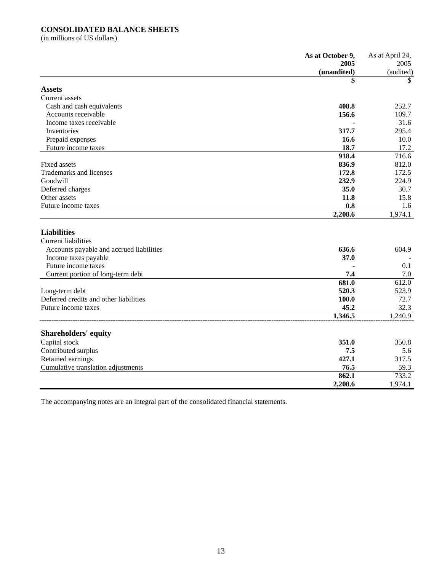#### **CONSOLIDATED BALANCE SHEETS**

(in millions of US dollars)

|                                          | As at October 9, | As at April 24, |
|------------------------------------------|------------------|-----------------|
|                                          | 2005             | 2005            |
|                                          | (unaudited)      | (audited)       |
|                                          | \$               | SS.             |
| <b>Assets</b>                            |                  |                 |
| Current assets                           |                  |                 |
| Cash and cash equivalents                | 408.8            | 252.7           |
| Accounts receivable                      | 156.6            | 109.7           |
| Income taxes receivable                  |                  | 31.6            |
| Inventories                              | 317.7            | 295.4           |
| Prepaid expenses                         | 16.6             | 10.0            |
| Future income taxes                      | 18.7             | 17.2            |
|                                          | 918.4            | 716.6           |
| Fixed assets                             | 836.9            | 812.0           |
| Trademarks and licenses                  | 172.8            | 172.5           |
| Goodwill                                 | 232.9            | 224.9           |
| Deferred charges                         | 35.0             | 30.7            |
| Other assets                             | 11.8             | 15.8            |
| Future income taxes                      | 0.8              | 1.6             |
|                                          | 2,208.6          | 1,974.1         |
|                                          |                  |                 |
| <b>Liabilities</b>                       |                  |                 |
| <b>Current liabilities</b>               |                  |                 |
| Accounts payable and accrued liabilities | 636.6            | 604.9           |
| Income taxes payable                     | 37.0             |                 |
| Future income taxes                      |                  | 0.1             |
| Current portion of long-term debt        | 7.4              | 7.0             |
|                                          | 681.0            | 612.0           |
| Long-term debt                           | 520.3            | 523.9           |
| Deferred credits and other liabilities   | 100.0            | 72.7            |
| Future income taxes                      | 45.2             | 32.3            |
|                                          | 1,346.5          | 1,240.9         |
|                                          |                  |                 |
| <b>Shareholders' equity</b>              |                  |                 |
| Capital stock                            | 351.0            | 350.8           |
| Contributed surplus                      | 7.5              | 5.6             |
| Retained earnings                        | 427.1            | 317.5           |
| Cumulative translation adjustments       | 76.5             | 59.3            |
|                                          | 862.1            | 733.2           |
|                                          | 2,208.6          | 1,974.1         |
|                                          |                  |                 |

The accompanying notes are an integral part of the consolidated financial statements.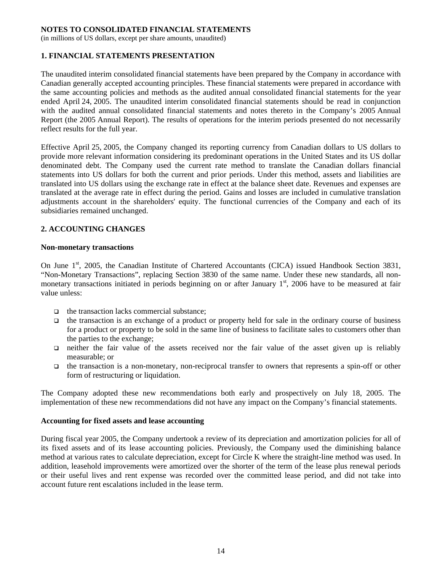(in millions of US dollars, except per share amounts, unaudited)

#### **1. FINANCIAL STATEMENTS PRESENTATION**

The unaudited interim consolidated financial statements have been prepared by the Company in accordance with Canadian generally accepted accounting principles. These financial statements were prepared in accordance with the same accounting policies and methods as the audited annual consolidated financial statements for the year ended April 24, 2005. The unaudited interim consolidated financial statements should be read in conjunction with the audited annual consolidated financial statements and notes thereto in the Company's 2005 Annual Report (the 2005 Annual Report). The results of operations for the interim periods presented do not necessarily reflect results for the full year.

Effective April 25, 2005, the Company changed its reporting currency from Canadian dollars to US dollars to provide more relevant information considering its predominant operations in the United States and its US dollar denominated debt. The Company used the current rate method to translate the Canadian dollars financial statements into US dollars for both the current and prior periods. Under this method, assets and liabilities are translated into US dollars using the exchange rate in effect at the balance sheet date. Revenues and expenses are translated at the average rate in effect during the period. Gains and losses are included in cumulative translation adjustments account in the shareholders' equity. The functional currencies of the Company and each of its subsidiaries remained unchanged.

#### **2. ACCOUNTING CHANGES**

#### **Non-monetary transactions**

On June 1<sup>st</sup>, 2005, the Canadian Institute of Chartered Accountants (CICA) issued Handbook Section 3831, "Non-Monetary Transactions", replacing Section 3830 of the same name. Under these new standards, all nonmonetary transactions initiated in periods beginning on or after January  $1<sup>st</sup>$ , 2006 have to be measured at fair value unless:

- $\Box$  the transaction lacks commercial substance:
- $\Box$  the transaction is an exchange of a product or property held for sale in the ordinary course of business for a product or property to be sold in the same line of business to facilitate sales to customers other than the parties to the exchange;
- neither the fair value of the assets received nor the fair value of the asset given up is reliably measurable; or
- $\Box$  the transaction is a non-monetary, non-reciprocal transfer to owners that represents a spin-off or other form of restructuring or liquidation.

The Company adopted these new recommendations both early and prospectively on July 18, 2005. The implementation of these new recommendations did not have any impact on the Company's financial statements.

#### **Accounting for fixed assets and lease accounting**

During fiscal year 2005, the Company undertook a review of its depreciation and amortization policies for all of its fixed assets and of its lease accounting policies. Previously, the Company used the diminishing balance method at various rates to calculate depreciation, except for Circle K where the straight-line method was used. In addition, leasehold improvements were amortized over the shorter of the term of the lease plus renewal periods or their useful lives and rent expense was recorded over the committed lease period, and did not take into account future rent escalations included in the lease term.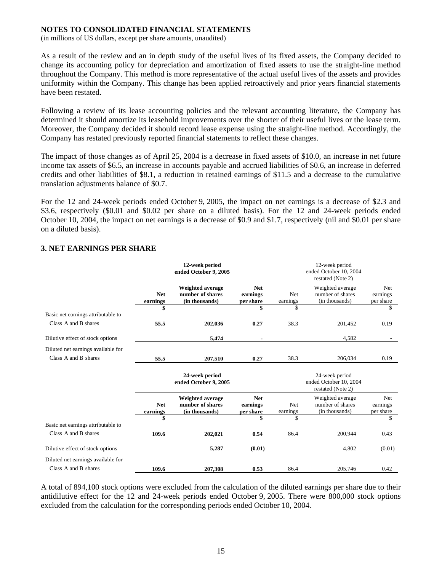(in millions of US dollars, except per share amounts, unaudited)

As a result of the review and an in depth study of the useful lives of its fixed assets, the Company decided to change its accounting policy for depreciation and amortization of fixed assets to use the straight-line method throughout the Company. This method is more representative of the actual useful lives of the assets and provides uniformity within the Company. This change has been applied retroactively and prior years financial statements have been restated.

Following a review of its lease accounting policies and the relevant accounting literature, the Company has determined it should amortize its leasehold improvements over the shorter of their useful lives or the lease term. Moreover, the Company decided it should record lease expense using the straight-line method. Accordingly, the Company has restated previously reported financial statements to reflect these changes.

The impact of those changes as of April 25, 2004 is a decrease in fixed assets of \$10.0, an increase in net future income tax assets of \$6.5, an increase in accounts payable and accrued liabilities of \$0.6, an increase in deferred credits and other liabilities of \$8.1, a reduction in retained earnings of \$11.5 and a decrease to the cumulative translation adjustments balance of \$0.7.

For the 12 and 24-week periods ended October 9, 2005, the impact on net earnings is a decrease of \$2.3 and \$3.6, respectively (\$0.01 and \$0.02 per share on a diluted basis). For the 12 and 24-week periods ended October 10, 2004, the impact on net earnings is a decrease of \$0.9 and \$1.7, respectively (nil and \$0.01 per share on a diluted basis).

|                                    | 12-week period<br>ended October 9, 2005 |                                                               |                                     | 12-week period<br>ended October 10, 2004<br>restated (Note 2) |                                                               |                              |  |  |
|------------------------------------|-----------------------------------------|---------------------------------------------------------------|-------------------------------------|---------------------------------------------------------------|---------------------------------------------------------------|------------------------------|--|--|
|                                    | <b>Net</b><br>earnings                  | Weighted average<br>number of shares<br>(in thousands)        | <b>Net</b><br>earnings<br>per share | <b>Net</b><br>earnings                                        | Weighted average<br>number of shares<br>(in thousands)        | Net<br>earnings<br>per share |  |  |
| Basic net earnings attributable to |                                         |                                                               | \$                                  | \$                                                            |                                                               | \$                           |  |  |
| Class A and B shares               | 55.5                                    | 202,036                                                       | 0.27                                | 38.3                                                          | 201,452                                                       | 0.19                         |  |  |
| Dilutive effect of stock options   |                                         | 5,474                                                         |                                     |                                                               | 4,582                                                         |                              |  |  |
| Diluted net earnings available for |                                         |                                                               |                                     |                                                               |                                                               |                              |  |  |
| Class A and B shares               | 55.5                                    | 207,510                                                       | 0.27                                | 38.3                                                          | 206,034                                                       | 0.19                         |  |  |
|                                    |                                         | 24-week period<br>ended October 9, 2005                       |                                     |                                                               | 24-week period<br>ended October 10, 2004<br>restated (Note 2) |                              |  |  |
|                                    | <b>Net</b><br>earnings                  | <b>Weighted average</b><br>number of shares<br>(in thousands) | <b>Net</b><br>earnings<br>per share | <b>Net</b><br>earnings                                        | Weighted average<br>number of shares<br>(in thousands)        | Net<br>earnings<br>per share |  |  |
| Basic net earnings attributable to | \$                                      |                                                               | \$                                  | \$                                                            |                                                               | \$                           |  |  |
| Class A and B shares               | 109.6                                   | 202,021                                                       | 0.54                                | 86.4                                                          | 200,944                                                       | 0.43                         |  |  |
| Dilutive effect of stock options   |                                         | 5,287                                                         | (0.01)                              |                                                               | 4,802                                                         | (0.01)                       |  |  |
| Diluted net earnings available for |                                         |                                                               |                                     |                                                               |                                                               |                              |  |  |
| Class A and B shares               | 109.6                                   | 207,308                                                       | 0.53                                | 86.4                                                          | 205,746                                                       | 0.42                         |  |  |

#### **3. NET EARNINGS PER SHARE**

A total of 894,100 stock options were excluded from the calculation of the diluted earnings per share due to their antidilutive effect for the 12 and 24-week periods ended October 9, 2005. There were 800,000 stock options excluded from the calculation for the corresponding periods ended October 10, 2004.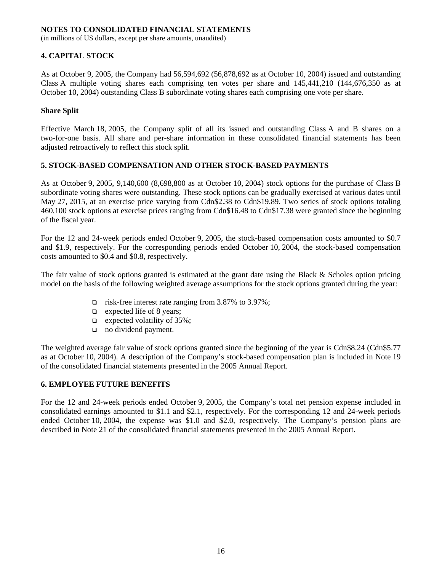(in millions of US dollars, except per share amounts, unaudited)

### **4. CAPITAL STOCK**

As at October 9, 2005, the Company had 56,594,692 (56,878,692 as at October 10, 2004) issued and outstanding Class A multiple voting shares each comprising ten votes per share and 145,441,210 (144,676,350 as at October 10, 2004) outstanding Class B subordinate voting shares each comprising one vote per share.

#### **Share Split**

Effective March 18, 2005, the Company split of all its issued and outstanding Class A and B shares on a two-for-one basis. All share and per-share information in these consolidated financial statements has been adjusted retroactively to reflect this stock split.

#### **5. STOCK-BASED COMPENSATION AND OTHER STOCK-BASED PAYMENTS**

As at October 9, 2005, 9,140,600 (8,698,800 as at October 10, 2004) stock options for the purchase of Class B subordinate voting shares were outstanding. These stock options can be gradually exercised at various dates until May 27, 2015, at an exercise price varying from Cdn\$2.38 to Cdn\$19.89. Two series of stock options totaling 460,100 stock options at exercise prices ranging from Cdn\$16.48 to Cdn\$17.38 were granted since the beginning of the fiscal year.

For the 12 and 24-week periods ended October 9, 2005, the stock-based compensation costs amounted to \$0.7 and \$1.9, respectively. For the corresponding periods ended October 10, 2004, the stock-based compensation costs amounted to \$0.4 and \$0.8, respectively.

The fair value of stock options granted is estimated at the grant date using the Black & Scholes option pricing model on the basis of the following weighted average assumptions for the stock options granted during the year:

- risk-free interest rate ranging from 3.87% to 3.97%;
- $\Box$  expected life of 8 years;
- $\Box$  expected volatility of 35%;
- no dividend payment.

The weighted average fair value of stock options granted since the beginning of the year is Cdn\$8.24 (Cdn\$5.77 as at October 10, 2004). A description of the Company's stock-based compensation plan is included in Note 19 of the consolidated financial statements presented in the 2005 Annual Report.

#### **6. EMPLOYEE FUTURE BENEFITS**

For the 12 and 24-week periods ended October 9, 2005, the Company's total net pension expense included in consolidated earnings amounted to \$1.1 and \$2.1, respectively. For the corresponding 12 and 24-week periods ended October 10, 2004, the expense was \$1.0 and \$2.0, respectively. The Company's pension plans are described in Note 21 of the consolidated financial statements presented in the 2005 Annual Report.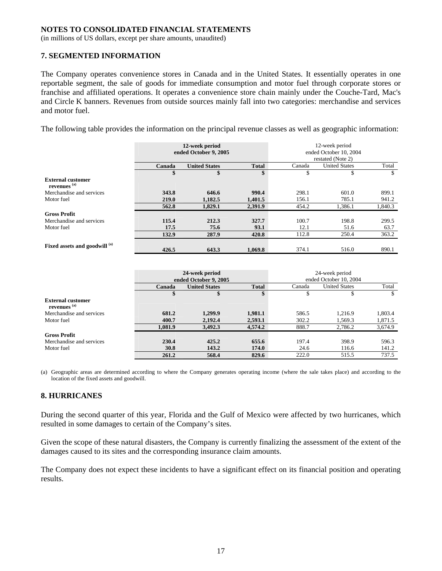(in millions of US dollars, except per share amounts, unaudited)

#### **7. SEGMENTED INFORMATION**

The Company operates convenience stores in Canada and in the United States. It essentially operates in one reportable segment, the sale of goods for immediate consumption and motor fuel through corporate stores or franchise and affiliated operations. It operates a convenience store chain mainly under the Couche-Tard, Mac's and Circle K banners. Revenues from outside sources mainly fall into two categories: merchandise and services and motor fuel.

The following table provides the information on the principal revenue classes as well as geographic information:

|                                                     |        | 12-week period<br>ended October 9, 2005 |              |        | 12-week period<br>ended October 10, 2004<br>restated (Note 2) |         |  |
|-----------------------------------------------------|--------|-----------------------------------------|--------------|--------|---------------------------------------------------------------|---------|--|
|                                                     | Canada | <b>United States</b>                    | <b>Total</b> | Canada | <b>United States</b>                                          | Total   |  |
|                                                     | \$     | \$                                      | \$           | \$     | ъ                                                             | \$      |  |
| <b>External customer</b><br>revenues <sup>(a)</sup> |        |                                         |              |        |                                                               |         |  |
| Merchandise and services                            | 343.8  | 646.6                                   | 990.4        | 298.1  | 601.0                                                         | 899.1   |  |
| Motor fuel                                          | 219.0  | 1,182.5                                 | 1,401.5      | 156.1  | 785.1                                                         | 941.2   |  |
|                                                     | 562.8  | 1,829.1                                 | 2,391.9      | 454.2  | 1,386.1                                                       | 1,840.3 |  |
| <b>Gross Profit</b>                                 |        |                                         |              |        |                                                               |         |  |
| Merchandise and services                            | 115.4  | 212.3                                   | 327.7        | 100.7  | 198.8                                                         | 299.5   |  |
| Motor fuel                                          | 17.5   | 75.6                                    | 93.1         | 12.1   | 51.6                                                          | 63.7    |  |
|                                                     | 132.9  | 287.9                                   | 420.8        | 112.8  | 250.4                                                         | 363.2   |  |
| Fixed assets and goodwill (a)                       | 426.5  | 643.3                                   | 1.069.8      | 374.1  | 516.0                                                         | 890.1   |  |

|                                                     |         | 24-week period<br>ended October 9, 2005 |              | 24-week period<br>ended October 10, 2004 |                      |         |
|-----------------------------------------------------|---------|-----------------------------------------|--------------|------------------------------------------|----------------------|---------|
|                                                     | Canada  | <b>United States</b>                    | <b>Total</b> | Canada                                   | <b>United States</b> | Total   |
|                                                     | \$      |                                         | \$           |                                          |                      | S       |
| <b>External customer</b><br>revenues <sup>(a)</sup> |         |                                         |              |                                          |                      |         |
| Merchandise and services                            | 681.2   | 1,299.9                                 | 1,981.1      | 586.5                                    | 1,216.9              | 1,803.4 |
| Motor fuel                                          | 400.7   | 2,192.4                                 | 2,593.1      | 302.2                                    | 1,569.3              | 1,871.5 |
|                                                     | 1,081.9 | 3,492.3                                 | 4,574.2      | 888.7                                    | 2.786.2              | 3,674.9 |
| <b>Gross Profit</b>                                 |         |                                         |              |                                          |                      |         |
| Merchandise and services                            | 230.4   | 425.2                                   | 655.6        | 197.4                                    | 398.9                | 596.3   |
| Motor fuel                                          | 30.8    | 143.2                                   | 174.0        | 24.6                                     | 116.6                | 141.2   |
|                                                     | 261.2   | 568.4                                   | 829.6        | 222.0                                    | 515.5                | 737.5   |

(a) Geographic areas are determined according to where the Company generates operating income (where the sale takes place) and according to the location of the fixed assets and goodwill.

#### **8. HURRICANES**

During the second quarter of this year, Florida and the Gulf of Mexico were affected by two hurricanes, which resulted in some damages to certain of the Company's sites.

Given the scope of these natural disasters, the Company is currently finalizing the assessment of the extent of the damages caused to its sites and the corresponding insurance claim amounts.

The Company does not expect these incidents to have a significant effect on its financial position and operating results.